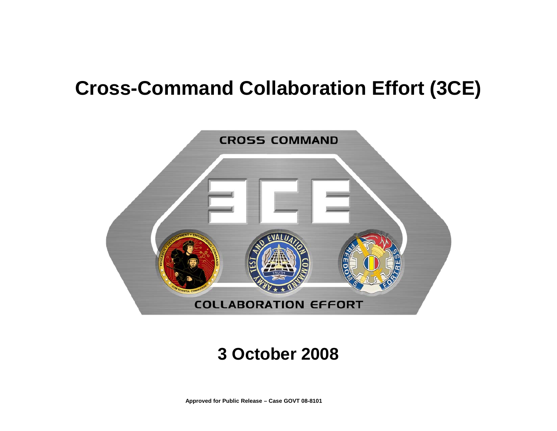### **Cross-Command Collaboration Effort (3CE)**



#### **3 October 2008**

**Approved for Public Release – Case GOVT 08-8101**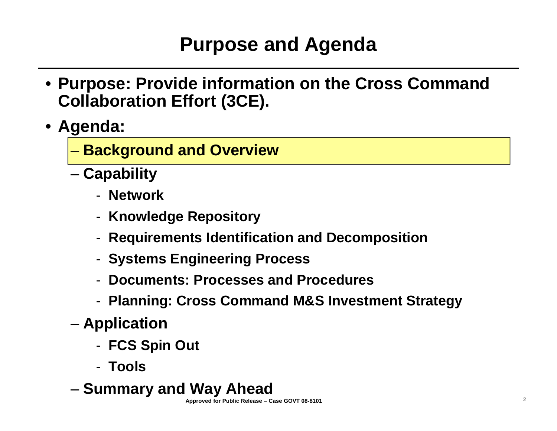# **Purpose and Agenda**

- **Purpose: Provide information on the Cross Command Collaboration Effort (3CE).**
- **Agenda:**
	- **Background and Overview**
	- **Capability**
		- **Network**
		- -**Knowledge Repository**
		- -**Requirements Identification and Decomposition**
		- -**Systems Engineering Process**
		- -**Documents: Processes and Procedures**
		- -**Planning: Cross Command M&S Investment Strategy**
	- **Application**
		- -**FCS Spin Out**
		- **Tools**
	- **Summary and Way Ahead**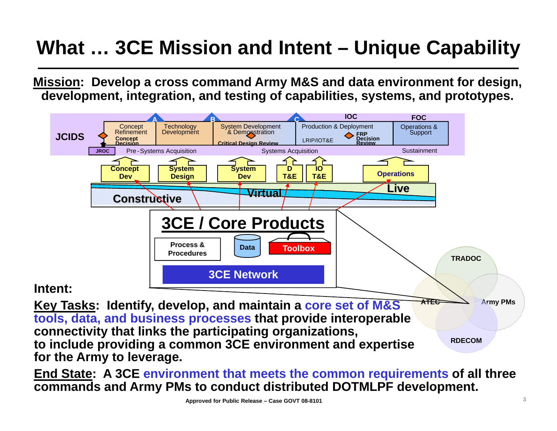# **What … 3CE Mission and Intent – Unique Capability**

**Mission: Develop a cross command Army M&S and data environment for design, development, integration, and testing of capabilities, systems, and prototypes.** 



**to include providing a common 3CE environment and expertise for the Army to leverage.** 

**End State: A 3CE environment that meets the common requirements of all three commands and Army PMs to conduct distributed DOTMLPF development.**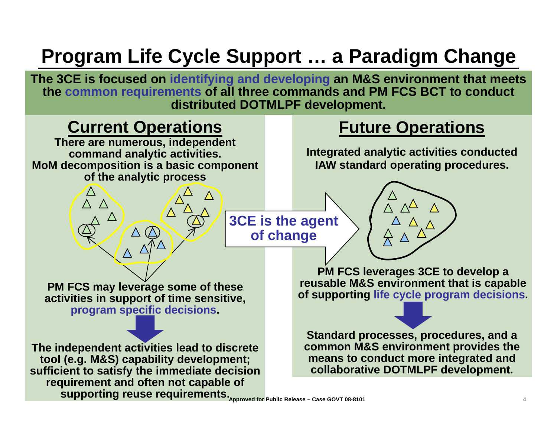# **Program Life Cycle Support … a Paradigm Change**

**The 3CE is focused on identifying and developing an M&S environment that meets the common requirements of all three commands and PM FCS BCT to conduct distributed DOTMLPF development.**

### **Current Operations <b>Future Operations**

**There are numerous, independent command analytic activities. MoM decomposition is a basic component of the analytic process**

**Integrated analytic activities conducted IAW standard operating procedures.**

**3CE is the agent of change**



**PM FCS may leverage some of these activities in support of time sensitive, program specific decisions.**

**The independent activities lead to discrete tool (e.g. M&S) capability development; sufficient to satisfy the immediate decision requirement and often not capable of supporting reuse requirements. Approved for Public Release – Case GOVT 08-8101**

**PM FCS leverages 3CE to develop a reusable M&S environment that is capable of supporting life cycle program decisions.**

**Standard processes, procedures, and a common M&S environment provides the means to conduct more integrated and collaborative DOTMLPF development.**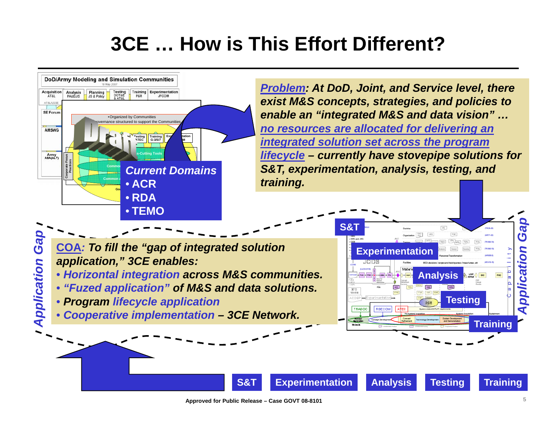# **3CE … How is This Effort Different?**

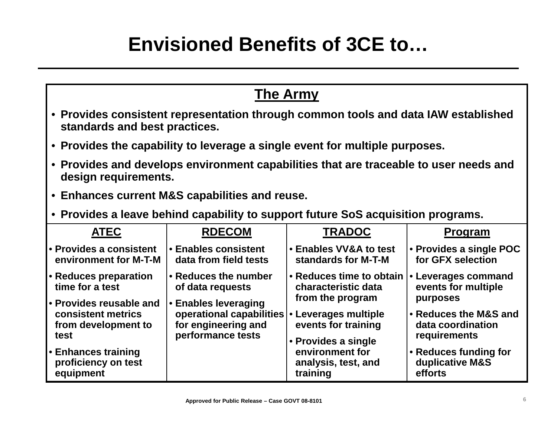### **Envisioned Benefits of 3CE to…**

| <b>The Army</b>                                                                                                     |                                                                                                                   |                                                                                   |                                                                        |
|---------------------------------------------------------------------------------------------------------------------|-------------------------------------------------------------------------------------------------------------------|-----------------------------------------------------------------------------------|------------------------------------------------------------------------|
| • Provides consistent representation through common tools and data IAW established<br>standards and best practices. |                                                                                                                   |                                                                                   |                                                                        |
| • Provides the capability to leverage a single event for multiple purposes.                                         |                                                                                                                   |                                                                                   |                                                                        |
| • Provides and develops environment capabilities that are traceable to user needs and<br>design requirements.       |                                                                                                                   |                                                                                   |                                                                        |
| • Enhances current M&S capabilities and reuse.                                                                      |                                                                                                                   |                                                                                   |                                                                        |
| • Provides a leave behind capability to support future SoS acquisition programs.                                    |                                                                                                                   |                                                                                   |                                                                        |
| <b>ATEC</b>                                                                                                         | <b>RDECOM</b>                                                                                                     | <b>TRADOC</b>                                                                     | <b>Program</b>                                                         |
| • Provides a consistent<br>environment for M-T-M                                                                    | <b>• Enables consistent</b><br>data from field tests                                                              | <b>• Enables VV&amp;A to test</b><br>standards for M-T-M                          | • Provides a single POC<br>for GFX selection                           |
| • Reduces preparation<br>time for a test                                                                            | • Reduces the number<br>of data requests                                                                          | • Reduces time to obtain<br>characteristic data                                   | • Leverages command<br>events for multiple                             |
| • Provides reusable and<br>consistent metrics<br>from development to<br>test                                        | • Enables leveraging<br>operational capabilities • Leverages multiple<br>for engineering and<br>performance tests | from the program<br>events for training<br>• Provides a single<br>environment for | purposes<br>• Reduces the M&S and<br>data coordination<br>requirements |
| • Enhances training<br>proficiency on test<br>equipment                                                             |                                                                                                                   | analysis, test, and<br>training                                                   | • Reduces funding for<br>duplicative M&S<br>efforts                    |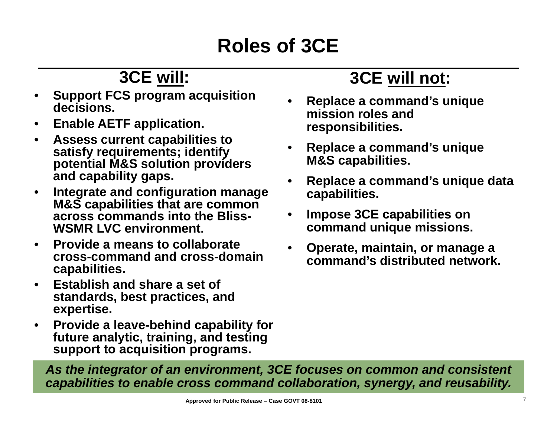# **Roles of 3CE**

### **3CE will:**

- • **Support FCS program acquisition decisions.**
- •**Enable AETF application.**
- • **Assess current capabilities to satisfy requirements; identify potential M&S solution providers and capability gaps.**
- • **Integrate and configuration manage M&S capabilities that are common across commands into the Bliss-WSMR LVC environment.**
- • **Provide a means to collaborate cross-command and cross-domain capabilities.**
- • **Establish and share a set of standards, best practices, and expertise.**
- $\bullet$  **Provide a leave-behind capability for future analytic, training, and testing support to acquisition programs.**

### **3CE will not:**

- • **Replace a command's unique mission roles and responsibilities.**
- • **Replace a command's unique M&S capabilities.**
- • **Replace a command's unique data capabilities.**
- • **Impose 3CE capabilities on command unique missions.**
- • **Operate, maintain, or manage a command's distributed network.**

*As the integrator of an environment, 3CE focuses on common and consistent capabilities to enable cross command collaboration, synergy, and reusability.*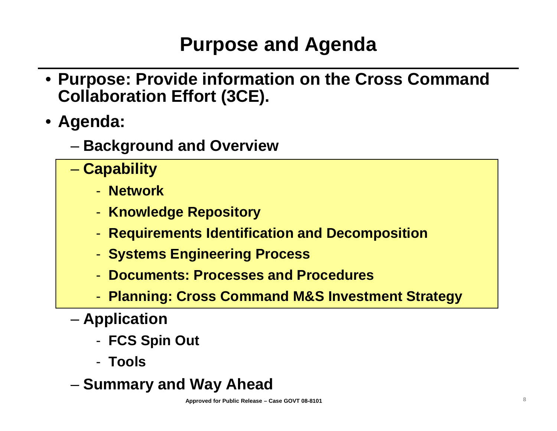# **Purpose and Agenda**

- **Purpose: Provide information on the Cross Command Collaboration Effort (3CE).**
- **Agenda:**
	- **Background and Overview**
	- **Capability**
		- **Network**
		- -**Knowledge Repository**
		- -**Requirements Identification and Decomposition**
		- -**Systems Engineering Process**
		- -**Documents: Processes and Procedures**
		- -**Planning: Cross Command M&S Investment Strategy**
	- **Application**
		- -**FCS Spin Out**
		- **Tools**
	- **Summary and Way Ahead**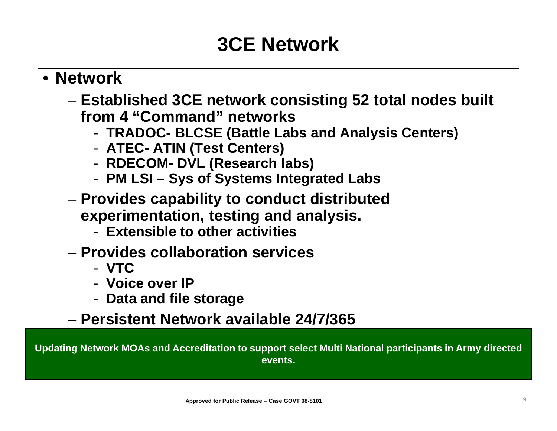### **3CE Network**

#### • **Network**

- – **Established 3CE network consisting 52 total nodes built from 4 "Command" networks**
	- -**TRADOC- BLCSE (Battle Labs and Analysis Centers)**
	- **ATEC- ATIN (Test Centers)**
	- **RDECOM- DVL (Research labs)**
	- **PM LSI – Sys of Systems Integrated Labs**
- **Links of the Company Provides capability to conduct distributed experimentation, testing and analysis.** 
	- **Extensible to other activities**
- **Provides collaboration services** 
	- **VTC**
	- **Voice over IP**
	- -**Data and file storage**

### – **Persistent Network available 24/7/365**

**Updating Network MOAs and Accreditation to support select Multi National participants in Army directed events.**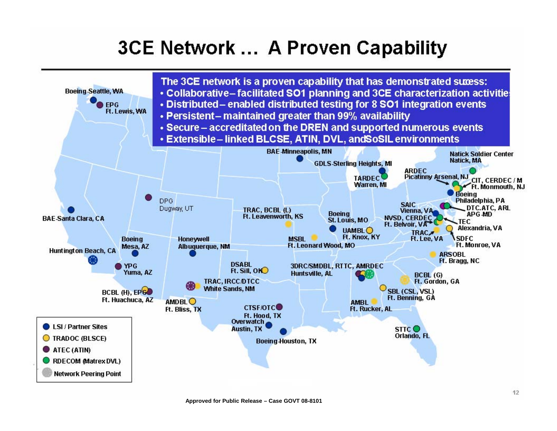### **3CE Network ... A Proven Capability**

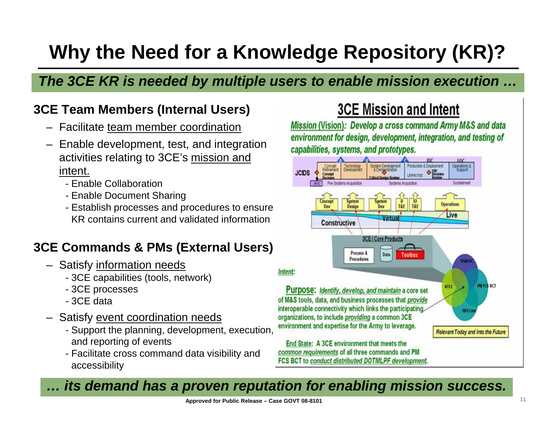# **Why the Need for a Knowledge Repository (KR)?**

#### *The 3CE KR is needed by multiple users to enable mission execution …*

#### **3CE Team Members (Internal Users)**

- Facilitate team member coordination
- Enable development, test, and integration activities relating to 3CE's mission and intent.
	- Enable Collaboration
	- Enable Document Sharing
	- Establish processes and procedures to ensure KR contains current and validated information

#### **3CE Commands & PMs (External Users)**

- Satisfy information needs
	- 3CE capabilities (tools, network)
	- 3CE processes
	- 3CE data
- Satisfy <u>event coordination needs</u>
	- Support the planning, development, execution, and reporting of events
	- Facilitate cross command data visibility and accessibility

#### **3CE Mission and Intent**

Mission (Vision): Develop a cross command Army M&S and data environment for design, development, integration, and testing of capabilities, systems, and prototypes.



common requirements of all three commands and PM FCS BCT to conduct distributed DOTMLPF development.

#### *… its demand has a proven reputation for enabling mission success.*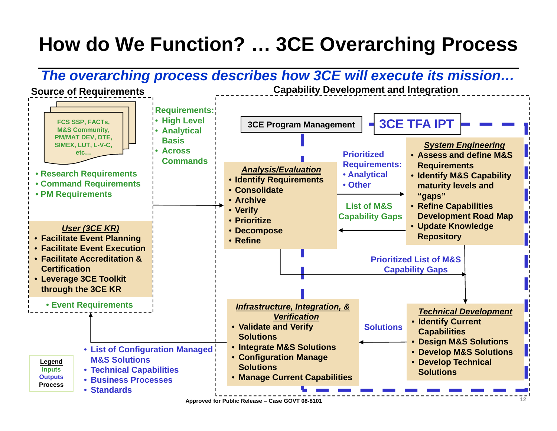# **How do We Function? … 3CE Overarching Process**



**Approved for Public Release – Case GOVT 08-8101**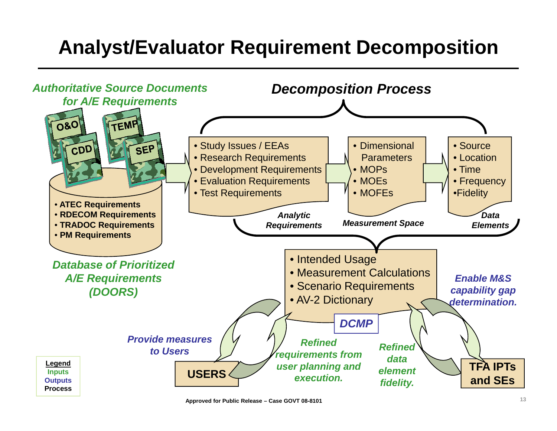# **Analyst/Evaluator Requirement Decomposition**

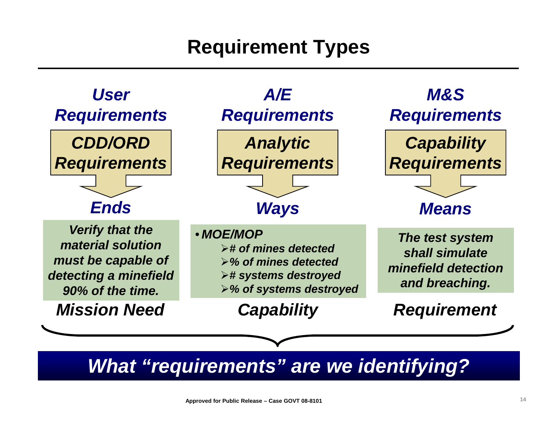# **Requirement Types**

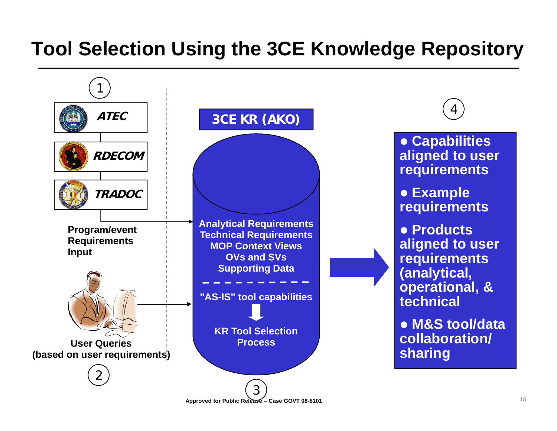# **Tool Selection Using the 3CE Knowledge Repository**



**Approved for Public Release – Case GOVT 08-8101**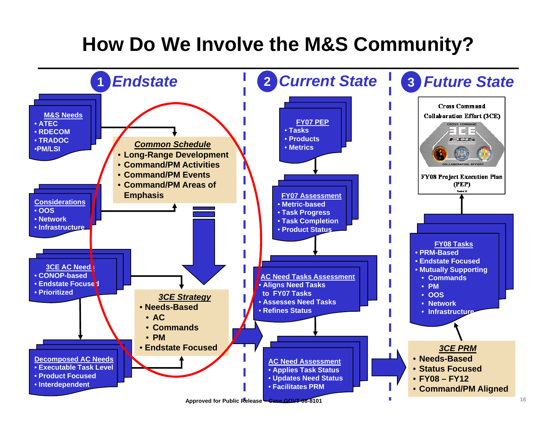## **How Do We Involve the M&S Community?**

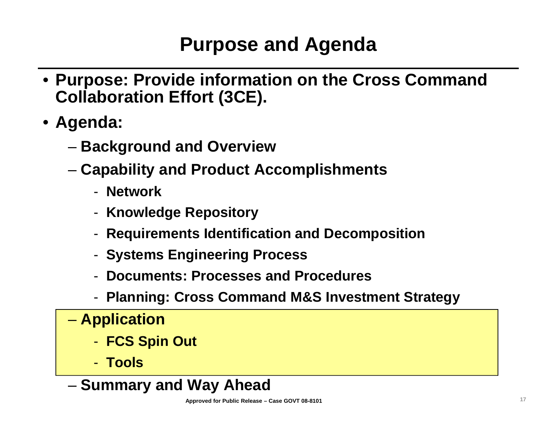# **Purpose and Agenda**

- **Purpose: Provide information on the Cross Command Collaboration Effort (3CE).**
- **Agenda:**
	- **Links of the Company Background and Overview**
	- **Links of the Company Capability and Product Accomplishments**
		- **Network**
		- -**Knowledge Repository**
		- -**Requirements Identification and Decomposition**
		- -**Systems Engineering Process**
		- **Documents: Processes and Procedures**
		- -**Planning: Cross Command M&S Investment Strategy**
	- **Harry Committee Application**
		- -**FCS Spin Out**
		- **Tools**

**Links of the Company**  $-$  Summary and Way Ahead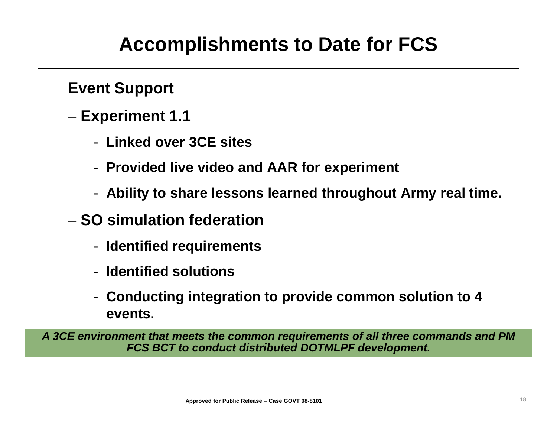### **Accomplishments to Date for FCS**

**Event Support**

- **Links of the Company Experiment 1.1**
	- **Linked over 3CE sites**
	- **Provided live video and AAR for experiment**
	- **Ability to share lessons learned throughout Army real time.**
- **SO simulation federation**
	- **Identified requirements**
	- **Identified solutions**
	- **Conducting integration to provide common solution to 4 events.**

*A 3CE environment that meets the common requirements of all three commands and PM FCS BCT to conduct distributed DOTMLPF development.*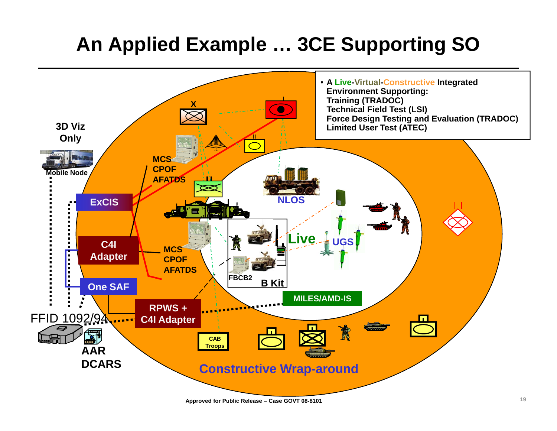# **An Applied Example … 3CE Supporting SO**

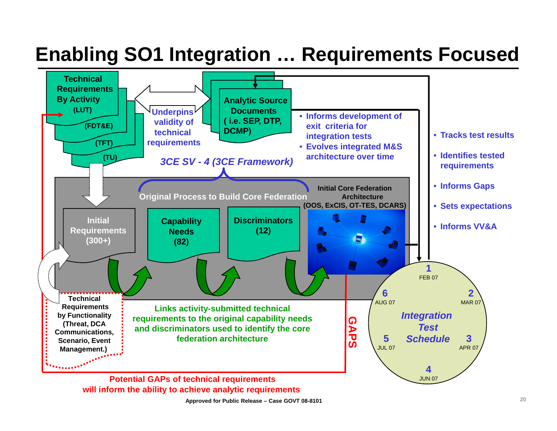### **Enabling SO1 Integration … Requirements Focused**



**Approved for Public Release – Case GOVT 08-8101**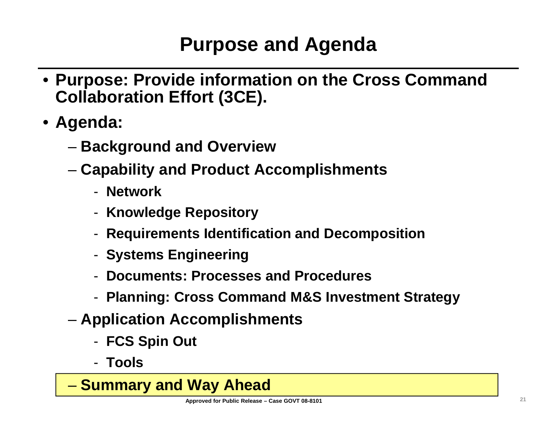# **Purpose and Agenda**

- **Purpose: Provide information on the Cross Command Collaboration Effort (3CE).**
- **Agenda:**
	- **Links of the Company Background and Overview**
	- **Links of the Company Capability and Product Accomplishments**
		- **Network**
		- -**Knowledge Repository**
		- -**Requirements Identification and Decomposition**
		- -**Systems Engineering**
		- **Documents: Processes and Procedures**
		- -**Planning: Cross Command M&S Investment Strategy**
	- **Links of the Company Application Accomplishments**
		- -**FCS Spin Out**
		- **Tools**

**Harry Committee Summary and Way Ahead**